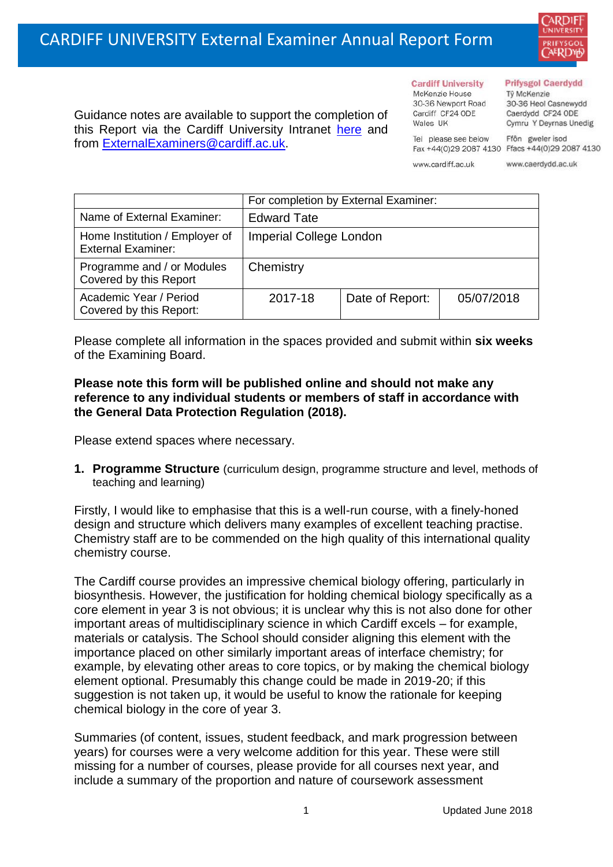

Guidance notes are available to support the completion of this Report via the Cardiff University Intranet [here](https://intranet.cardiff.ac.uk/staff/teaching-and-supporting-students/exams-and-assessment/exam-boards-and-external-examiners/for-current-external-examiners/external-examiners-reports) and from [ExternalExaminers@cardiff.ac.uk.](mailto:ExternalExaminers@cardiff.ac.uk)

**Cardiff University Prifysgol Caerdydd** 

Từ McKenzie 30-36 Heol Casnewydd Caerdydd CF24 ODE Cymru Y Deyrnas Unedig

Ffôn gweler isod Fax +44(0)29 2087 4130 Ffacs +44(0)29 2087 4130

www.cardiff.ac.uk

Tel please see below

McKenzie House

Cardiff CF24 ODE

Wales UK

30-36 Newport Road

www.caerdydd.ac.uk

|                                                             | For completion by External Examiner: |                 |            |  |  |
|-------------------------------------------------------------|--------------------------------------|-----------------|------------|--|--|
| Name of External Examiner:                                  | <b>Edward Tate</b>                   |                 |            |  |  |
| Home Institution / Employer of<br><b>External Examiner:</b> | <b>Imperial College London</b>       |                 |            |  |  |
| Programme and / or Modules<br>Covered by this Report        | Chemistry                            |                 |            |  |  |
| Academic Year / Period<br>Covered by this Report:           | 2017-18                              | Date of Report: | 05/07/2018 |  |  |

Please complete all information in the spaces provided and submit within **six weeks** of the Examining Board.

## **Please note this form will be published online and should not make any reference to any individual students or members of staff in accordance with the General Data Protection Regulation (2018).**

Please extend spaces where necessary.

**1. Programme Structure** (curriculum design, programme structure and level, methods of teaching and learning)

Firstly, I would like to emphasise that this is a well-run course, with a finely-honed design and structure which delivers many examples of excellent teaching practise. Chemistry staff are to be commended on the high quality of this international quality chemistry course.

The Cardiff course provides an impressive chemical biology offering, particularly in biosynthesis. However, the justification for holding chemical biology specifically as a core element in year 3 is not obvious; it is unclear why this is not also done for other important areas of multidisciplinary science in which Cardiff excels – for example, materials or catalysis. The School should consider aligning this element with the importance placed on other similarly important areas of interface chemistry; for example, by elevating other areas to core topics, or by making the chemical biology element optional. Presumably this change could be made in 2019-20; if this suggestion is not taken up, it would be useful to know the rationale for keeping chemical biology in the core of year 3.

Summaries (of content, issues, student feedback, and mark progression between years) for courses were a very welcome addition for this year. These were still missing for a number of courses, please provide for all courses next year, and include a summary of the proportion and nature of coursework assessment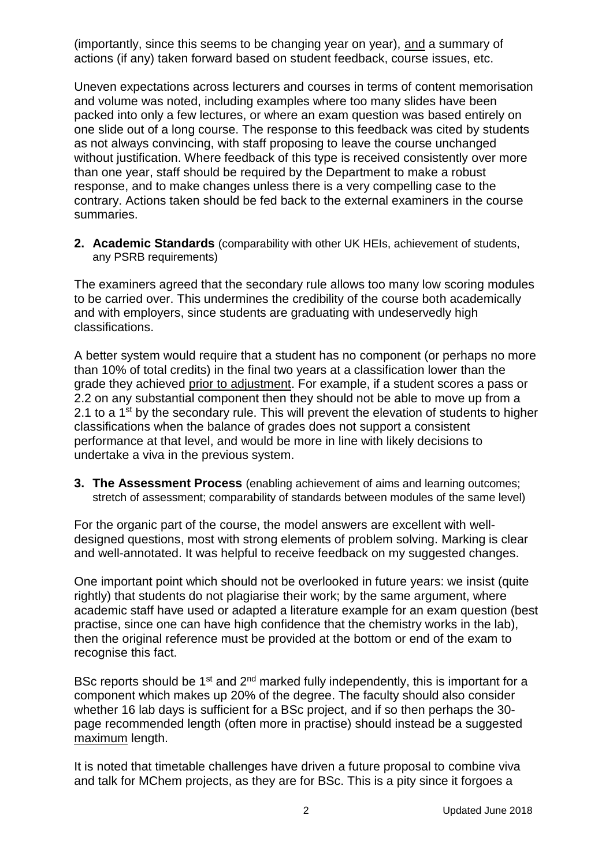(importantly, since this seems to be changing year on year), and a summary of actions (if any) taken forward based on student feedback, course issues, etc.

Uneven expectations across lecturers and courses in terms of content memorisation and volume was noted, including examples where too many slides have been packed into only a few lectures, or where an exam question was based entirely on one slide out of a long course. The response to this feedback was cited by students as not always convincing, with staff proposing to leave the course unchanged without justification. Where feedback of this type is received consistently over more than one year, staff should be required by the Department to make a robust response, and to make changes unless there is a very compelling case to the contrary. Actions taken should be fed back to the external examiners in the course summaries.

**2. Academic Standards** (comparability with other UK HEIs, achievement of students, any PSRB requirements)

The examiners agreed that the secondary rule allows too many low scoring modules to be carried over. This undermines the credibility of the course both academically and with employers, since students are graduating with undeservedly high classifications.

A better system would require that a student has no component (or perhaps no more than 10% of total credits) in the final two years at a classification lower than the grade they achieved prior to adjustment. For example, if a student scores a pass or 2.2 on any substantial component then they should not be able to move up from a 2.1 to a 1<sup>st</sup> by the secondary rule. This will prevent the elevation of students to higher classifications when the balance of grades does not support a consistent performance at that level, and would be more in line with likely decisions to undertake a viva in the previous system.

**3. The Assessment Process** (enabling achievement of aims and learning outcomes; stretch of assessment; comparability of standards between modules of the same level)

For the organic part of the course, the model answers are excellent with welldesigned questions, most with strong elements of problem solving. Marking is clear and well-annotated. It was helpful to receive feedback on my suggested changes.

One important point which should not be overlooked in future years: we insist (quite rightly) that students do not plagiarise their work; by the same argument, where academic staff have used or adapted a literature example for an exam question (best practise, since one can have high confidence that the chemistry works in the lab), then the original reference must be provided at the bottom or end of the exam to recognise this fact.

BSc reports should be 1<sup>st</sup> and 2<sup>nd</sup> marked fully independently, this is important for a component which makes up 20% of the degree. The faculty should also consider whether 16 lab days is sufficient for a BSc project, and if so then perhaps the 30 page recommended length (often more in practise) should instead be a suggested maximum length.

It is noted that timetable challenges have driven a future proposal to combine viva and talk for MChem projects, as they are for BSc. This is a pity since it forgoes a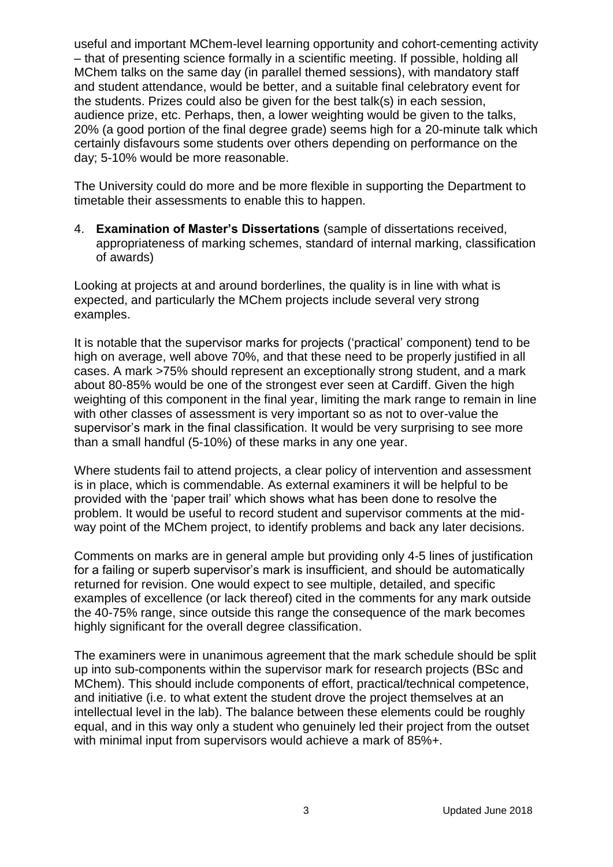useful and important MChem-level learning opportunity and cohort-cementing activity – that of presenting science formally in a scientific meeting. If possible, holding all MChem talks on the same day (in parallel themed sessions), with mandatory staff and student attendance, would be better, and a suitable final celebratory event for the students. Prizes could also be given for the best talk(s) in each session, audience prize, etc. Perhaps, then, a lower weighting would be given to the talks, 20% (a good portion of the final degree grade) seems high for a 20-minute talk which certainly disfavours some students over others depending on performance on the day; 5-10% would be more reasonable.

The University could do more and be more flexible in supporting the Department to timetable their assessments to enable this to happen.

4. **Examination of Master's Dissertations** (sample of dissertations received, appropriateness of marking schemes, standard of internal marking, classification of awards)

Looking at projects at and around borderlines, the quality is in line with what is expected, and particularly the MChem projects include several very strong examples.

It is notable that the supervisor marks for projects ('practical' component) tend to be high on average, well above 70%, and that these need to be properly justified in all cases. A mark >75% should represent an exceptionally strong student, and a mark about 80-85% would be one of the strongest ever seen at Cardiff. Given the high weighting of this component in the final year, limiting the mark range to remain in line with other classes of assessment is very important so as not to over-value the supervisor's mark in the final classification. It would be very surprising to see more than a small handful (5-10%) of these marks in any one year.

Where students fail to attend projects, a clear policy of intervention and assessment is in place, which is commendable. As external examiners it will be helpful to be provided with the 'paper trail' which shows what has been done to resolve the problem. It would be useful to record student and supervisor comments at the midway point of the MChem project, to identify problems and back any later decisions.

Comments on marks are in general ample but providing only 4-5 lines of justification for a failing or superb supervisor's mark is insufficient, and should be automatically returned for revision. One would expect to see multiple, detailed, and specific examples of excellence (or lack thereof) cited in the comments for any mark outside the 40-75% range, since outside this range the consequence of the mark becomes highly significant for the overall degree classification.

The examiners were in unanimous agreement that the mark schedule should be split up into sub-components within the supervisor mark for research projects (BSc and MChem). This should include components of effort, practical/technical competence, and initiative (i.e. to what extent the student drove the project themselves at an intellectual level in the lab). The balance between these elements could be roughly equal, and in this way only a student who genuinely led their project from the outset with minimal input from supervisors would achieve a mark of 85%+.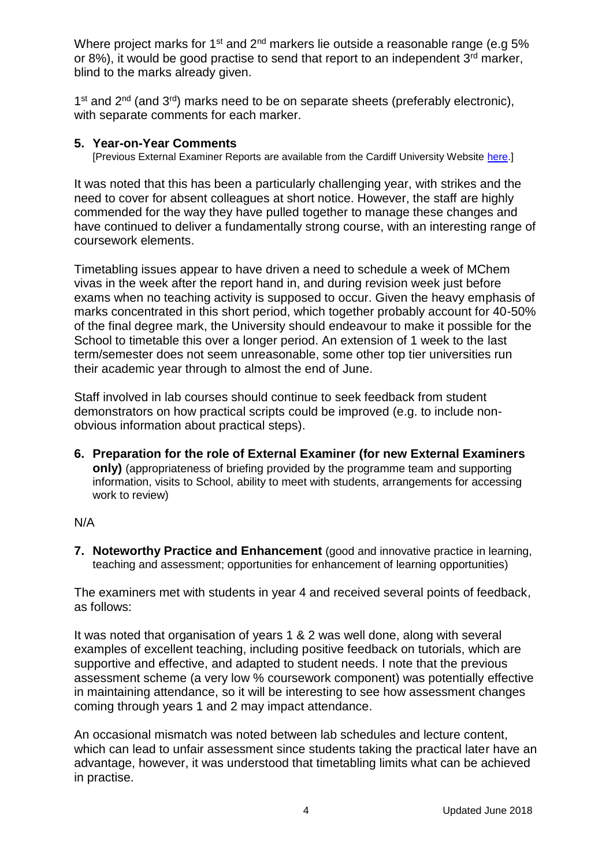Where project marks for 1<sup>st</sup> and  $2^{nd}$  markers lie outside a reasonable range (e.g 5%) or 8%), it would be good practise to send that report to an independent  $3<sup>rd</sup>$  marker, blind to the marks already given.

1<sup>st</sup> and 2<sup>nd</sup> (and 3<sup>rd</sup>) marks need to be on separate sheets (preferably electronic), with separate comments for each marker.

## **5. Year-on-Year Comments**

[Previous External Examiner Reports are available from the Cardiff University Website [here.](https://www.cardiff.ac.uk/public-information/quality-and-standards/external-examiner-reports)]

It was noted that this has been a particularly challenging year, with strikes and the need to cover for absent colleagues at short notice. However, the staff are highly commended for the way they have pulled together to manage these changes and have continued to deliver a fundamentally strong course, with an interesting range of coursework elements.

Timetabling issues appear to have driven a need to schedule a week of MChem vivas in the week after the report hand in, and during revision week just before exams when no teaching activity is supposed to occur. Given the heavy emphasis of marks concentrated in this short period, which together probably account for 40-50% of the final degree mark, the University should endeavour to make it possible for the School to timetable this over a longer period. An extension of 1 week to the last term/semester does not seem unreasonable, some other top tier universities run their academic year through to almost the end of June.

Staff involved in lab courses should continue to seek feedback from student demonstrators on how practical scripts could be improved (e.g. to include nonobvious information about practical steps).

**6. Preparation for the role of External Examiner (for new External Examiners only)** (appropriateness of briefing provided by the programme team and supporting information, visits to School, ability to meet with students, arrangements for accessing work to review)

## N/A

**7. Noteworthy Practice and Enhancement** (good and innovative practice in learning, teaching and assessment; opportunities for enhancement of learning opportunities)

The examiners met with students in year 4 and received several points of feedback, as follows:

It was noted that organisation of years 1 & 2 was well done, along with several examples of excellent teaching, including positive feedback on tutorials, which are supportive and effective, and adapted to student needs. I note that the previous assessment scheme (a very low % coursework component) was potentially effective in maintaining attendance, so it will be interesting to see how assessment changes coming through years 1 and 2 may impact attendance.

An occasional mismatch was noted between lab schedules and lecture content, which can lead to unfair assessment since students taking the practical later have an advantage, however, it was understood that timetabling limits what can be achieved in practise.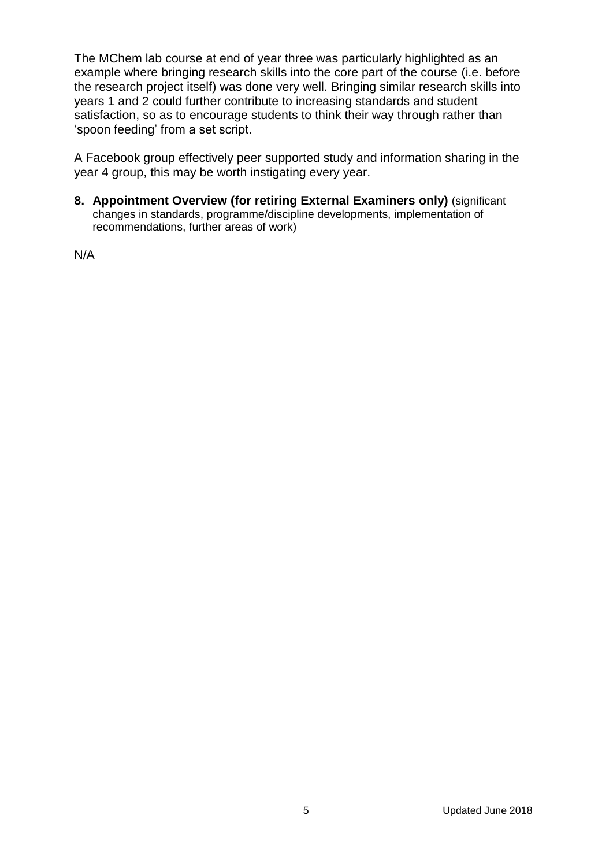The MChem lab course at end of year three was particularly highlighted as an example where bringing research skills into the core part of the course (i.e. before the research project itself) was done very well. Bringing similar research skills into years 1 and 2 could further contribute to increasing standards and student satisfaction, so as to encourage students to think their way through rather than 'spoon feeding' from a set script.

A Facebook group effectively peer supported study and information sharing in the year 4 group, this may be worth instigating every year.

**8. Appointment Overview (for retiring External Examiners only)** (significant changes in standards, programme/discipline developments, implementation of recommendations, further areas of work)

N/A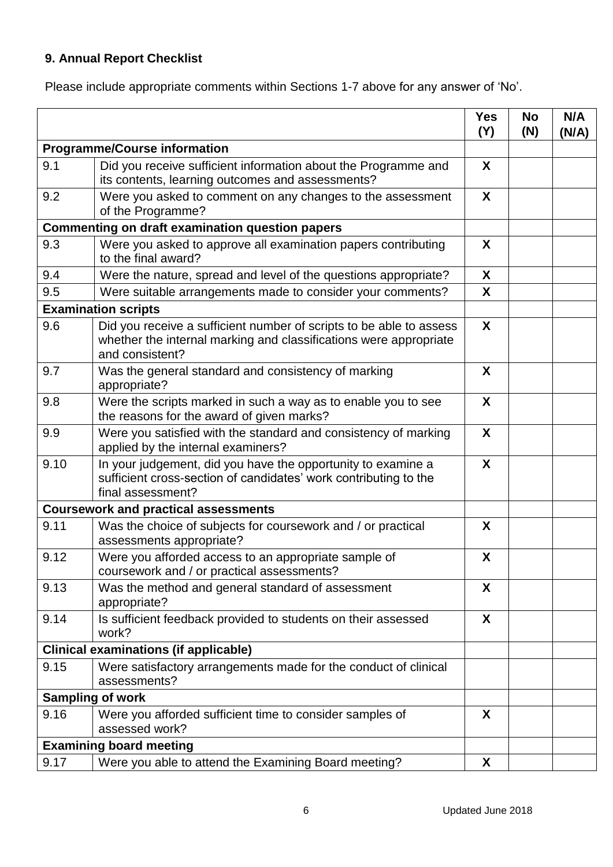## **9. Annual Report Checklist**

Please include appropriate comments within Sections 1-7 above for any answer of 'No'.

|                                                        |                                                                                                                                                             | <b>Yes</b><br>(Y) | <b>No</b><br>(N) | N/A<br>(N/A) |
|--------------------------------------------------------|-------------------------------------------------------------------------------------------------------------------------------------------------------------|-------------------|------------------|--------------|
| <b>Programme/Course information</b>                    |                                                                                                                                                             |                   |                  |              |
| 9.1                                                    | Did you receive sufficient information about the Programme and<br>its contents, learning outcomes and assessments?                                          | X                 |                  |              |
| 9.2                                                    | Were you asked to comment on any changes to the assessment<br>of the Programme?                                                                             | X                 |                  |              |
| <b>Commenting on draft examination question papers</b> |                                                                                                                                                             |                   |                  |              |
| 9.3                                                    | Were you asked to approve all examination papers contributing<br>to the final award?                                                                        | X                 |                  |              |
| 9.4                                                    | Were the nature, spread and level of the questions appropriate?                                                                                             | X                 |                  |              |
| 9.5                                                    | Were suitable arrangements made to consider your comments?                                                                                                  | X                 |                  |              |
|                                                        | <b>Examination scripts</b>                                                                                                                                  |                   |                  |              |
| 9.6                                                    | Did you receive a sufficient number of scripts to be able to assess<br>whether the internal marking and classifications were appropriate<br>and consistent? | X                 |                  |              |
| 9.7                                                    | Was the general standard and consistency of marking<br>appropriate?                                                                                         | X                 |                  |              |
| 9.8                                                    | Were the scripts marked in such a way as to enable you to see<br>the reasons for the award of given marks?                                                  | X                 |                  |              |
| 9.9                                                    | Were you satisfied with the standard and consistency of marking<br>applied by the internal examiners?                                                       | X                 |                  |              |
| 9.10                                                   | In your judgement, did you have the opportunity to examine a<br>sufficient cross-section of candidates' work contributing to the<br>final assessment?       | X                 |                  |              |
|                                                        | <b>Coursework and practical assessments</b>                                                                                                                 |                   |                  |              |
| 9.11                                                   | Was the choice of subjects for coursework and / or practical<br>assessments appropriate?                                                                    | X                 |                  |              |
| 9.12                                                   | Were you afforded access to an appropriate sample of<br>coursework and / or practical assessments?                                                          | X                 |                  |              |
| 9.13                                                   | Was the method and general standard of assessment<br>appropriate?                                                                                           | X                 |                  |              |
| 9.14                                                   | Is sufficient feedback provided to students on their assessed<br>work?                                                                                      | X                 |                  |              |
| <b>Clinical examinations (if applicable)</b>           |                                                                                                                                                             |                   |                  |              |
| 9.15                                                   | Were satisfactory arrangements made for the conduct of clinical<br>assessments?                                                                             |                   |                  |              |
| <b>Sampling of work</b>                                |                                                                                                                                                             |                   |                  |              |
| 9.16                                                   | Were you afforded sufficient time to consider samples of<br>assessed work?                                                                                  | X                 |                  |              |
|                                                        | <b>Examining board meeting</b>                                                                                                                              |                   |                  |              |
| 9.17                                                   | Were you able to attend the Examining Board meeting?                                                                                                        | X                 |                  |              |